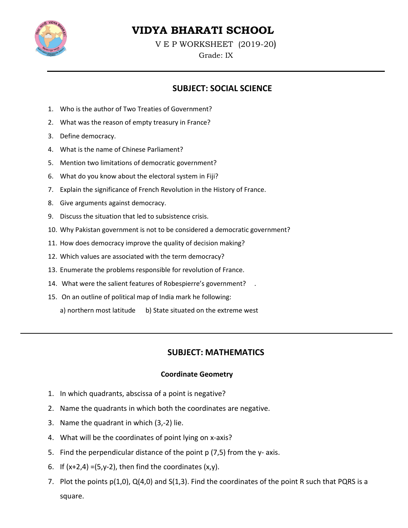

# VIDYA BHARATI SCHOOL

VEP WORKSHEET (2019-20)

#### Grade: IX

## **SUBJECT: SOCIAL SCIENCE**

- 1. Who is the author of Two Treaties of Government?
- 2. What was the reason of empty treasury in France?
- 3. Define democracy.
- 4. What is the name of Chinese Parliament?
- 5. Mention two limitations of democratic government?
- 6. What do you know about the electoral system in Fiji?
- 7. Explain the significance of French Revolution in the History of France.
- 8. Give arguments against democracy.
- 9. Discuss the situation that led to subsistence crisis.
- 10. Why Pakistan government is not to be considered a democratic government?
- 11. How does democracy improve the quality of decision making?
- 12. Which values are associated with the term democracy?
- 13. Enumerate the problems responsible for revolution of France.
- 14. What were the salient features of Robespierre's government?
- 15. On an outline of political map of India mark he following:
	- a) northern most latitude b) State situated on the extreme west

## **SUBJECT: MATHEMATICS**

#### **Coordinate Geometry**

- 1. In which quadrants, abscissa of a point is negative?
- 2. Name the quadrants in which both the coordinates are negative.
- 3. Name the quadrant in which (3,-2) lie.
- 4. What will be the coordinates of point lying on x-axis?
- 5. Find the perpendicular distance of the point p (7,5) from the y- axis.
- 6. If  $(x+2,4) = (5,y-2)$ , then find the coordinates  $(x,y)$ .
- 7. Plot the points p(1,0), Q(4,0) and S(1,3). Find the coordinates of the point R such that PQRS is a square.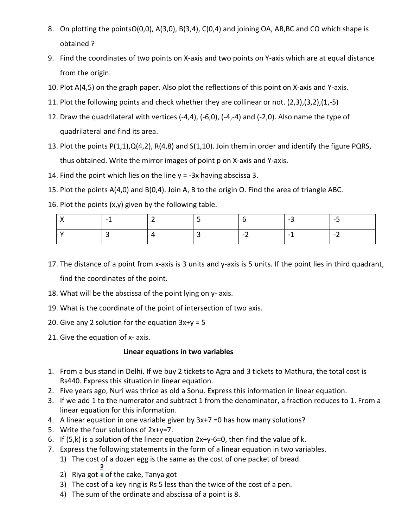- 8. On plotting the pointsO(0,0), A(3,0), B(3,4), C(0,4) and joining OA, AB, BC and CO which shape is obtained ?
- 9. Find the coordinates of two points on X-axis and two points on Y-axis which are at equal distance from the origin.
- 10. Plot A(4,5) on the graph paper. Also plot the reflections of this point on X-axis and Y-axis.
- 11. Plot the following points and check whether they are collinear or not.  $(2,3)$ , $(3,2)$ , $(1,-5)$
- 12. Draw the quadrilateral with vertices (-4,4), (-6,0), (-4,-4) and (-2,0). Also name the type of quadrilateral and find its area.
- 13. Plot the points  $P(1,1), Q(4,2), R(4,8)$  and  $S(1,10)$ . Join them in order and identify the figure PQRS, thus obtained. Write the mirror images of point p on X-axis and Y-axis.
- 14. Find the point which lies on the line  $y = -3x$  having abscissa 3.
- 15. Plot the points A(4,0) and B(0,4). Join A, B to the origin O. Find the area of triangle ABC.
- 16. Plot the points (x,y) given by the following table.

|  |  | - 7    | $\overline{\phantom{0}}$ |
|--|--|--------|--------------------------|
|  |  | $\sim$ | $\overline{\phantom{0}}$ |

- 17. The distance of a point from x-axis is 3 units and y-axis is 5 units. If the point lies in third quadrant, find the coordinates of the point.
- 18. What will be the abscissa of the point lying on y- axis.
- 19. What is the coordinate of the point of intersection of two axis.
- 20. Give any 2 solution for the equation  $3x+y = 5$
- 21. Give the equation of x- axis.

## Linear equations in two variables

- 1. From a bus stand in Delhi. If we buy 2 tickets to Agra and 3 tickets to Mathura, the total cost is Rs440. Express this situation in linear equation.
- 2. Five years ago, Nuri was thrice as old a Sonu. Express this information in linear equation.
- 3. If we add 1 to the numerator and subtract 1 from the denominator, a fraction reduces to 1. From a linear equation for this information.
- 4. A linear equation in one variable given by 3x+7 =0 has how many solutions?
- 5. Write the four solutions of  $2x+y=7$ .
- 6. If  $(5,k)$  is a solution of the linear equation  $2x+y-6=0$ , then find the value of k.
- 7. Express the following statements in the form of a linear equation in two variables.
	- 1) The cost of a dozen egg is the same as the cost of one packet of bread. а
	- 2) Riya got  $\triangleq$  of the cake, Tanya got
	- 3) The cost of a key ring is Rs 5 less than the twice of the cost of a pen.
	- 4) The sum of the ordinate and abscissa of a point is 8.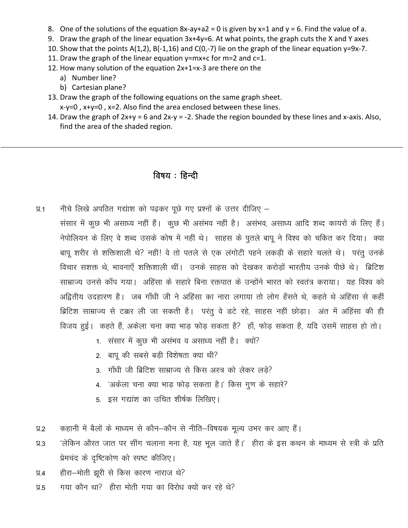- 8. One of the solutions of the equation  $8x$ -ay+a2 = 0 is given by  $x=1$  and  $y = 6$ . Find the value of a.
- 9. Draw the graph of the linear equation 3x+4y=6. At what points, the graph cuts the X and Y axes
- 10. Show that the points  $A(1,2)$ ,  $B(-1,16)$  and  $C(0,-7)$  lie on the graph of the linear equation y=9x-7.
- 11. Draw the graph of the linear equation  $y=mx+c$  for  $m=2$  and  $c=1$ .
- 12. How many solution of the equation 2x+1=x-3 are there on the
	- a) Number line?
	- b) Cartesian plane?
- 13. Draw the graph of the following equations on the same graph sheet.  $x-y=0$ ,  $x+y=0$ ,  $x=2$ . Also find the area enclosed between these lines.
- 14. Draw the graph of  $2x+y = 6$  and  $2x-y = -2$ . Shade the region bounded by these lines and x-axis. Also, find the area of the shaded region.

## विषय: हिन्दी

- नीचे लिखे अपठित गद्यांश को पढ़कर पूछे गए प्रश्नों के उत्तर दीजिए  $\Psi$ .1
	- संसार में कुछ भी असाध्य नहीं हैं। कुछ भी असंभव नहीं है। असंभव, असाध्य आदि शब्द कायरों के लिए हैं। नेपोलियन के लिए वे शब्द उसके कोष में नहीं थे। साहस के पुतले बापू ने विश्व को चकित कर दिया। क्या बापू शरीर से शक्तिशाली थे? नहीं! वे तो पतले से एक लंगोटी पहने लकड़ी के सहारे चलते थे। परंतु उनके विचार सशक्त थे, भावनाएँ शक्तिशाली थीं। उनके साहस को देखकर करोड़ों भारतीय उनके पीछे थे। ब्रिटिश साम्राज्य उनसे काँप गया। अहिंसा के सहारे बिना रक्तपात के उन्होंने भारत को स्वतंत्र कराया। यह विश्व को अद्वितीय उदहारण है। जब गाँधी जी ने अहिंसा का नारा लगाया तो लोग हँसते थे, कहते थे अहिंसा से कहीं ब्रिटिश साम्राज्य से टक्कर ली जा सकती है। परंतू वे डटे रहे, साहस नहीं छोड़ा। अंत में अहिंसा की ही विजय हुई। कहते हैं, अकेला चना क्या भाड़ फोड़ सकता है? हाँ, फोड़ सकता है, यदि उसमें साहस हो तो।
		- 1. संसार में कुछ भी असंभव व असाध्य नहीं है। क्यों?
		- 2. बाप की सबसे बड़ी विशेषता क्या थी?
		- 3. गाँधी जी ब्रिटिश साम्राज्य से किस अस्त्र को लेकर लडे?
		- 4. 'अकेला चना क्या भाड़ फोड़ सकता है।' किस गुण के सहारे?
		- 5. इस गद्यांश का उचित शीर्षक लिखिए।
- कहानी में बैलों के माध्यम से कौन-कौन से नीति-विषयक मूल्य उभर कर आए हैं।  $9.2$
- 'लेकिन औरत जात पर सींग चलाना मना है, यह भूल जाते हैं।' हीरा के इस कथन के माध्यम से स्त्री के प्रति  $\Pi.3$ प्रेमचंद के दृष्टिकोण को स्पष्ट कीजिए।
- हीरा-मोती झूरी से किस कारण नाराज थे?  $\Psi$ .4
- गया कौन था? हीरा मोती गया का विरोध क्यों कर रहे थे?  $9.5$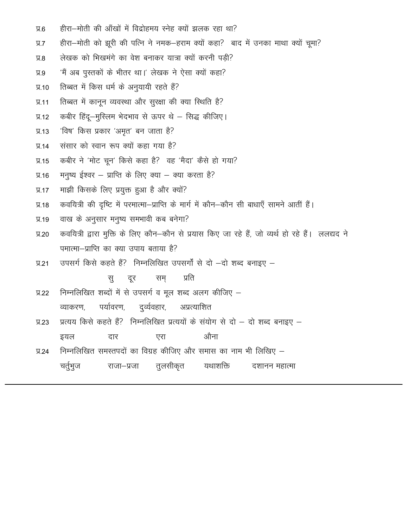- हीरा-मोती की आँखों में विद्रोहमय स्नेह क्यों झलक रहा था?  $9.6$
- हीरा-मोती को झूरी की पत्नि ने नमक-हराम क्यों कहा? बाद में उनका माथा क्यों चूमा?  $9.7$
- लेखक को भिखमंगे का वेश बनाकर यात्रा क्यों करनी पड़ी?  $9.8$
- 'मैं अब पुस्तकों के भीतर था।' लेखक ने ऐसा क्यों कहा?  $\Psi$ .9
- तिब्बत में किस धर्म के अनुयायी रहते हैं?  $\P$ .10
- तिब्बत में कानून व्यवस्था और सुरक्षा की क्या स्थिति है?  $\Psi$ .11
- कबीर हिंदू-मुस्लिम भेदभाव से ऊपर थे सिद्ध कीजिए।  $\P$ .12
- 'विष' किस प्रकार 'अमृत' बन जाता है?  $\Pi.13$
- संसार को स्वान रूप क्यों कहा गया है?  $\Psi$ .14
- कबीर ने 'मोट चून' किसे कहा है? वह 'मैदा' कैसे हो गया?  $\Pi.15$
- मनुष्य ईश्वर प्राप्ति के लिए क्या क्या करता है?  $\Pi$ .16
- माझी किसके लिए प्रयुक्त हुआ है और क्यों?  $\Psi$ .17
- कवयित्री की दृष्टि में परमात्मा-प्राप्ति के मार्ग में कौन-कौन सी बाधाएँ सामने आतीं हैं।  $\Psi$ .18
- वाख के अनुसार मनुष्य समभावी कब बनेगा?  $\Pi.19$
- कवयित्री द्वारा मुक्ति के लिए कौन-कौन से प्रयास किए जा रहे हैं, जो व्यर्थ हो रहे हैं। ललद्यद ने  $\Psi$ .20 पमात्मा-प्राप्ति का क्या उपाय बताया है?
- उपसर्ग किसे कहते हैं? निम्नलिखित उपसर्गों से दो -दो शब्द बनाइए - $\Psi$ .21

सम प्रति स दूर

- निम्नलिखित शब्दों में से उपसर्ग व मूल शब्द अलग कीजिए - $\P$ .22 दुर्व्यवहार, अप्रत्याशित व्याकरण, पर्यावरण,
- प्रत्यय किसे कहते हैं? निम्नलिखित प्रत्ययों के संयोग से दो दो शब्द बनाइए  $\Psi$ .23 औना इयल दार एरा
- निम्नलिखित समस्तपदों का विग्रह कीजिए और समास का नाम भी लिखिए  $\Psi$ .24 चर्तुभुज तुलसीकृत यथाशक्ति राजा–प्रजा दशानन महात्मा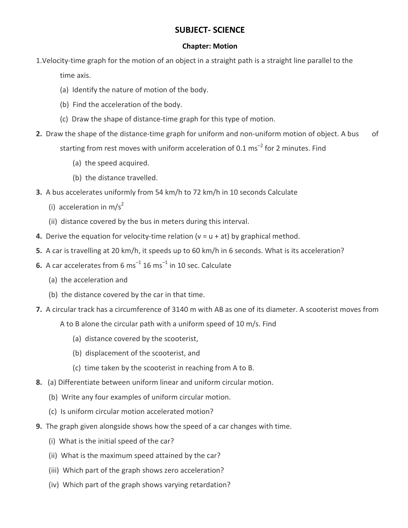## **SUBJECT- SCIENCE**

#### **Chapter: Motion**

1. Velocity-time graph for the motion of an object in a straight path is a straight line parallel to the

time axis.

- (a) Identify the nature of motion of the body.
- (b) Find the acceleration of the body.
- (c) Draw the shape of distance-time graph for this type of motion.
- 2. Draw the shape of the distance-time graph for uniform and non-uniform motion of object. A bus οf starting from rest moves with uniform acceleration of 0.1 ms<sup>-2</sup> for 2 minutes. Find
	- (a) the speed acquired.
	- (b) the distance travelled.
- 3. A bus accelerates uniformly from 54 km/h to 72 km/h in 10 seconds Calculate
	- (i) acceleration in  $m/s^2$
	- (ii) distance covered by the bus in meters during this interval.
- 4. Derive the equation for velocity-time relation ( $v = u + at$ ) by graphical method.
- 5. A car is travelling at 20 km/h, it speeds up to 60 km/h in 6 seconds. What is its acceleration?
- **6.** A car accelerates from 6  $ms^{-1}$  16  $ms^{-1}$  in 10 sec. Calculate
	- (a) the acceleration and
	- (b) the distance covered by the car in that time.
- 7. A circular track has a circumference of 3140 m with AB as one of its diameter. A scooterist moves from
	- A to B alone the circular path with a uniform speed of 10 m/s. Find
		- (a) distance covered by the scooterist,
		- (b) displacement of the scooterist, and
		- (c) time taken by the scooterist in reaching from A to B.
- 8. (a) Differentiate between uniform linear and uniform circular motion.
	- (b) Write any four examples of uniform circular motion.
	- (c) Is uniform circular motion accelerated motion?
- **9.** The graph given alongside shows how the speed of a car changes with time.
	- (i) What is the initial speed of the car?
	- (ii) What is the maximum speed attained by the car?
	- (iii) Which part of the graph shows zero acceleration?
	- (iv) Which part of the graph shows varying retardation?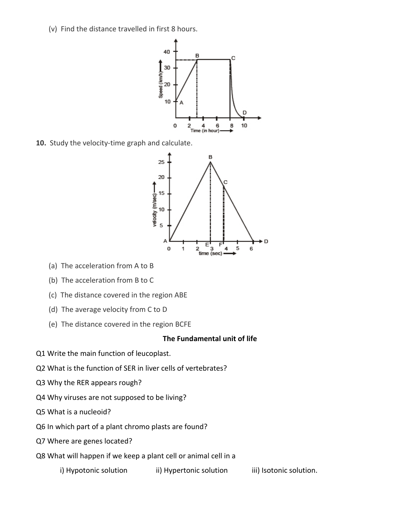(v) Find the distance travelled in first 8 hours.



10. Study the velocity-time graph and calculate.



- (a) The acceleration from A to B
- (b) The acceleration from B to C
- (c) The distance covered in the region ABE
- (d) The average velocity from C to D
- (e) The distance covered in the region BCFE

#### The Fundamental unit of life

- Q1 Write the main function of leucoplast.
- Q2 What is the function of SER in liver cells of vertebrates?
- Q3 Why the RER appears rough?
- Q4 Why viruses are not supposed to be living?
- Q5 What is a nucleoid?
- Q6 In which part of a plant chromo plasts are found?
- Q7 Where are genes located?
- Q8 What will happen if we keep a plant cell or animal cell in a
	- i) Hypotonic solution ii) Hypertonic solution iii) Isotonic solution.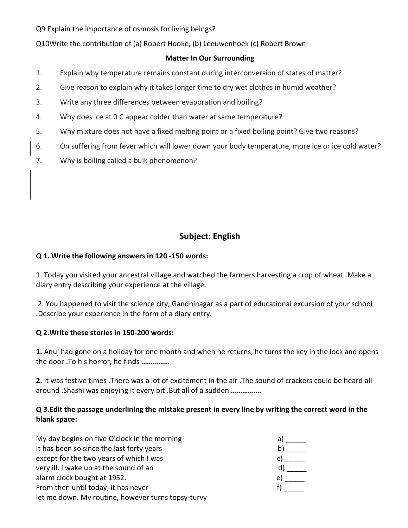Q9 Explain the importance of osmosis for living beings?

Q10Write the contribution of (a) Robert Hooke, (b) Leeuwenhoek (c) Robert Brown

#### **Matter In Our Surrounding**

- $1.$ Explain why temperature remains constant during interconversion of states of matter?
- $2.$ Give reason to explain why it takes longer time to dry wet clothes in humid weather?
- $3.$ Write any three differences between evaporation and boiling?
- Why does ice at 0 C appear colder than water at same temperature? 4.
- 5. Why mixture does not have a fixed melting point or a fixed boiling point? Give two reasons?
- 6. On suffering from fever which will lower down your body temperature, more ice or ice cold water?
- 7. Why is boiling called a bulk phenomenon?

## **Subject: English**

#### Q 1. Write the following answers in 120 -150 words:

1. Today you visited your ancestral village and watched the farmers harvesting a crop of wheat .Make a diary entry describing your experience at the village.

2. You happened to visit the science city, Gandhinagar as a part of educational excursion of your school Describe your experience in the form of a diary entry.

#### Q 2. Write these stories in 150-200 words:

1. Anuj had gone on a holiday for one month and when he returns, he turns the key in the lock and opens the door .To his horror, he finds ...............

2. It was festive times . There was a lot of excitement in the air . The sound of crackers could be heard all around .Shashi was enjoying it every bit .But all of a sudden ................

## Q 3. Edit the passage underlining the mistake present in every line by writing the correct word in the blank space:

| My day begins on five O'clock in the morning       | a  |
|----------------------------------------------------|----|
| It has been so since the last forty years          |    |
| except for the two years of which I was            |    |
| very ill. I wake up at the sound of an             |    |
| alarm clock bought at 1952.                        | eι |
| From then until today, it has never                |    |
| let me down. My routine, however turns topsy-turvy |    |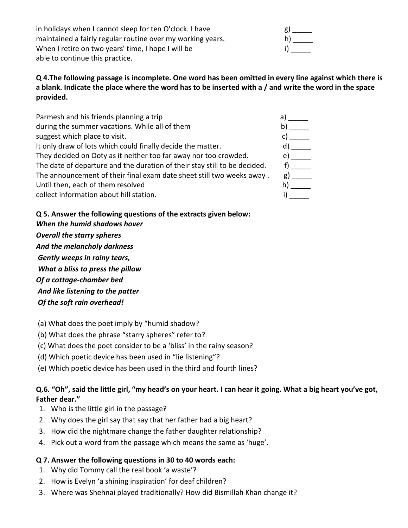in holidays when I cannot sleep for ten O'clock. I have maintained a fairly regular routine over my working years. When I retire on two years' time, I hope I will be able to continue this practice.

| g) |  |
|----|--|
| h) |  |
| i) |  |

Q 4. The following passage is incomplete. One word has been omitted in every line against which there is a blank. Indicate the place where the word has to be inserted with a / and write the word in the space provided.

| Parmesh and his friends planning a trip                                   | a  |
|---------------------------------------------------------------------------|----|
| during the summer vacations. While all of them                            |    |
| suggest which place to visit.                                             |    |
| It only draw of lots which could finally decide the matter.               |    |
| They decided on Ooty as it neither too far away nor too crowded.          | e) |
| The date of departure and the duration of their stay still to be decided. |    |
| The announcement of their final exam date sheet still two weeks away.     | g) |
| Until then, each of them resolved                                         |    |
| collect information about hill station.                                   |    |

## Q 5. Answer the following questions of the extracts given below:

- When the humid shadows hover **Overall the starry spheres** And the melancholy darkness Gently weeps in rainy tears, What a bliss to press the pillow Of a cottage-chamber bed And like listening to the patter Of the soft rain overhead!
- (a) What does the poet imply by "humid shadow?
- (b) What does the phrase "starry spheres" refer to?
- (c) What does the poet consider to be a 'bliss' in the rainy season?
- (d) Which poetic device has been used in "lie listening"?
- (e) Which poetic device has been used in the third and fourth lines?

## Q.6. "Oh", said the little girl, "my head's on your heart. I can hear it going. What a big heart you've got, Father dear."

- 1. Who is the little girl in the passage?
- 2. Why does the girl say that say that her father had a big heart?
- 3. How did the nightmare change the father daughter relationship?
- 4. Pick out a word from the passage which means the same as 'huge'.

## Q 7. Answer the following questions in 30 to 40 words each:

- 1. Why did Tommy call the real book 'a waste'?
- 2. How is Evelyn 'a shining inspiration' for deaf children?
- 3. Where was Shehnai played traditionally? How did Bismillah Khan change it?